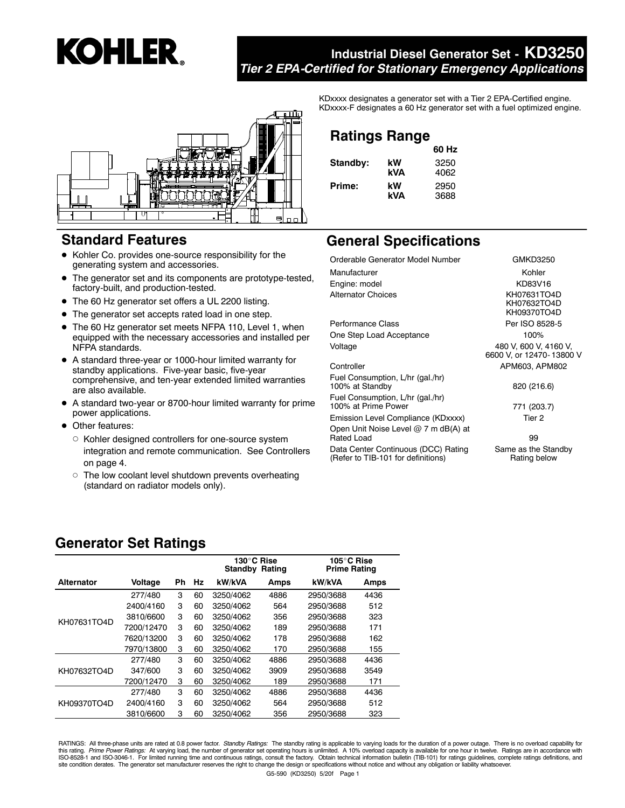# **KOHLER.**

### **Industrial Diesel Generator Set - KD3250** *Tier 2 EPA-Certified for Stationary Emergency Applications*



### **Standard Features**

- $\bullet$  Kohler Co. provides one-source responsibility for the generating system and accessories.
- The generator set and its components are prototype-tested, factory-built, and production-tested.
- The 60 Hz generator set offers a UL 2200 listing.
- $\bullet$  The generator set accepts rated load in one step.
- The 60 Hz generator set meets NFPA 110, Level 1, when equipped with the necessary accessories and installed per NFPA standards.
- A standard three-year or 1000-hour limited warranty for standby applications. Five-year basic, five-year comprehensive, and ten-year extended limited warranties are also available.
- A standard two-year or 8700-hour limited warranty for prime power applications.
- Other features:
	- $\circ$  Kohler designed controllers for one-source system integration and remote communication. See Controllers on page 4.
	- $\circ$  The low coolant level shutdown prevents overheating (standard on radiator models only).

KDxxxx designates a generator set with a Tier 2 EPA-Certified engine. KDxxxx-F designates a 60 Hz generator set with a fuel optimized engine.

### **Ratings Range**

|          |     | 60 Hz |
|----------|-----|-------|
| Standby: | kW  | 3250  |
|          | kVA | 4062  |
| Prime:   | kW  | 2950  |
|          | kVA | 3688  |

# **General Specifications**

| Orderable Generator Model Number                        | GMKD32                            |
|---------------------------------------------------------|-----------------------------------|
| Manufacturer                                            | Kohler                            |
| Engine: model                                           | <b>KD83V1</b>                     |
| Alternator Choices                                      | KH07631T<br>KH07632T<br>KH09370T  |
| Performance Class                                       | Per ISO 85                        |
| One Step Load Acceptance                                | 100%                              |
| Voltage                                                 | 480 V, 600 V,<br>6600 V, or 12470 |
| Controller                                              | APM603, AF                        |
| Fuel Consumption, L/hr (gal./hr)<br>100% at Standby     | 820 (216                          |
| Fuel Consumption, L/hr (gal./hr)<br>100% at Prime Power | 771 (203                          |
| Emission Level Compliance (KDxxxx)                      | Tier 2                            |
| Open Unit Noise Level @ 7 m dB(A) at<br>Rated Load      | 99                                |

Data Center Continuous (DCC) Rating (Refer to TIB-101 for definitions)

KD83V16 Alternator Choices KH07631TO4D KH07632TO4D KH09370TO4D Per ISO 8528-5 V, 600 V, 4160 V, 6600 V, or 12470- 13800 V PM603, APM802

GMKD3250

820 (216.6)

771 (203.7)

Same as the Standby Rating below

### **Generator Set Ratings**

|                   |            |    |    | 130°C Rise<br>Standby<br>Rating |      | 105°C Rise<br><b>Prime Rating</b> |      |
|-------------------|------------|----|----|---------------------------------|------|-----------------------------------|------|
| <b>Alternator</b> | Voltage    | Ph | Hz | kW/kVA                          | Amps | kW/kVA                            | Amps |
|                   | 277/480    | 3  | 60 | 3250/4062                       | 4886 | 2950/3688                         | 4436 |
|                   | 2400/4160  | 3  | 60 | 3250/4062                       | 564  | 2950/3688                         | 512  |
| KH07631TO4D       | 3810/6600  | 3  | 60 | 3250/4062                       | 356  | 2950/3688                         | 323  |
|                   | 7200/12470 | 3  | 60 | 3250/4062                       | 189  | 2950/3688                         | 171  |
|                   | 7620/13200 | 3  | 60 | 3250/4062                       | 178  | 2950/3688                         | 162  |
|                   | 7970/13800 | 3  | 60 | 3250/4062                       | 170  | 2950/3688                         | 155  |
|                   | 277/480    | 3  | 60 | 3250/4062                       | 4886 | 2950/3688                         | 4436 |
| KH07632TO4D       | 347/600    | 3  | 60 | 3250/4062                       | 3909 | 2950/3688                         | 3549 |
|                   | 7200/12470 | 3  | 60 | 3250/4062                       | 189  | 2950/3688                         | 171  |
|                   | 277/480    | 3  | 60 | 3250/4062                       | 4886 | 2950/3688                         | 4436 |
| KH09370TO4D       | 2400/4160  | 3  | 60 | 3250/4062                       | 564  | 2950/3688                         | 512  |
|                   | 3810/6600  | 3  | 60 | 3250/4062                       | 356  | 2950/3688                         | 323  |

RATINGS: All three-phase units are rated at 0.8 power factor. *Standby Ratings:* The standby rating is applicable to varying loads for the duration of a power outage. There is no overload capability for this rating. *Prime Power Ratings:* At varying load, the number of generator set operating hours is unlimited. A 10% overload capacity is available for one hour in twelve. Ratings are in accordance with<br>ISO-8528-1 and ISOsite condition derates. The generator set manufacturer reserves the right to change the design or specifications without notice and without any obligation or liability whatsoever.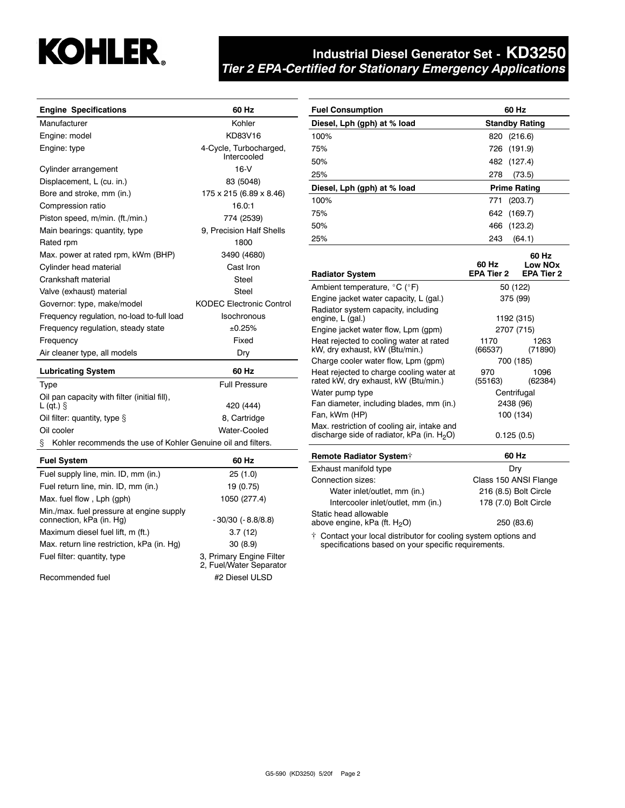

### **Industrial Diesel Generator Set - KD3250** *Tier 2 EPA-Certified for Stationary Emergency Applications*

**Fuel Consumption 60 Hz**

| <b>Engine Specifications</b>                                      | 60 Hz                                 |
|-------------------------------------------------------------------|---------------------------------------|
| Manufacturer                                                      | Kohler                                |
| Engine: model                                                     | KD83V16                               |
| Engine: type                                                      | 4-Cycle, Turbocharged,<br>Intercooled |
| Cylinder arrangement                                              | $16-V$                                |
| Displacement, L (cu. in.)                                         | 83 (5048)                             |
| Bore and stroke, mm (in.)                                         | 175 x 215 (6.89 x 8.46)               |
| Compression ratio                                                 | 16.0:1                                |
| Piston speed, m/min. (ft./min.)                                   | 774 (2539)                            |
| Main bearings: quantity, type                                     | 9, Precision Half Shells              |
| Rated rpm                                                         | 1800                                  |
| Max. power at rated rpm, kWm (BHP)                                | 3490 (4680)                           |
| Cylinder head material                                            | Cast Iron                             |
| Crankshaft material                                               | Steel                                 |
| Valve (exhaust) material                                          | Steel                                 |
| Governor: type, make/model                                        | <b>KODEC Electronic Control</b>       |
| Frequency regulation, no-load to-full load                        | Isochronous                           |
| Frequency regulation, steady state                                | ±0.25%                                |
| Frequency                                                         | Fixed                                 |
| Air cleaner type, all models                                      | Dry                                   |
| <b>Lubricating System</b>                                         | 60 Hz                                 |
| <b>Type</b>                                                       | <b>Full Pressure</b>                  |
| Oil pan capacity with filter (initial fill),<br>$L$ (qt.) $\S$    | 420 (444)                             |
| Oil filter: quantity, type $\S$                                   | 8, Cartridge                          |
| Oil cooler                                                        | Water-Cooled                          |
| Kohler recommends the use of Kohler Genuine oil and filters.<br>ş |                                       |
| <b>Fuel System</b>                                                | 60 Hz                                 |
| Fuel supply line, min. ID, mm (in.)                               | 25(1.0)                               |
| Fuel return line, min. ID, mm (in.)                               | 19 (0.75)                             |

Max. fuel flow , Lph (gph) 1050 (277.4)

connection, kPa (in. Hg)  $-30/30$  (-8.8/8.8) Maximum diesel fuel lift, m (ft.) 3.7 (12) Max. return line restriction, kPa (in. Hg) 30 (8.9)

Min./max. fuel pressure at engine supply

| Diesel, Lph (gph) at % load                                                                  | <b>Standby Rating</b>        |                              |  |
|----------------------------------------------------------------------------------------------|------------------------------|------------------------------|--|
| 100%                                                                                         | 820<br>(216.6)               |                              |  |
| 75%                                                                                          | 726<br>(191.9)               |                              |  |
| 50%                                                                                          | 482<br>(127.4)               |                              |  |
| 25%                                                                                          | 278<br>(73.5)                |                              |  |
| Diesel, Lph (gph) at % load                                                                  | <b>Prime Rating</b>          |                              |  |
| 100%                                                                                         | 771<br>(203.7)               |                              |  |
| 75%                                                                                          | 642<br>(169.7)               |                              |  |
| 50%                                                                                          | 466<br>(123.2)               |                              |  |
| 25%                                                                                          | 243<br>(64.1)                |                              |  |
| <b>Radiator System</b>                                                                       | 60 Hz<br>60 Hz<br>EPA Tier 2 | Low NOx<br><b>EPA Tier 2</b> |  |
| Ambient temperature, °C (°F)                                                                 | 50 (122)                     |                              |  |
| Engine jacket water capacity, L (gal.)                                                       | 375 (99)                     |                              |  |
| Radiator system capacity, including<br>engine, L (gal.)                                      | 1192 (315)                   |                              |  |
| Engine jacket water flow, Lpm (gpm)                                                          | 2707 (715)                   |                              |  |
| Heat rejected to cooling water at rated<br>kW, dry exhaust, kW (Btu/min.)                    | 1170<br>(66537)              | 1263<br>(71890)              |  |
| Charge cooler water flow, Lpm (gpm)                                                          | 700 (185)                    |                              |  |
| Heat rejected to charge cooling water at<br>rated kW, dry exhaust, kW (Btu/min.)             | 970<br>(55163)               | 1096<br>(62384)              |  |
| Water pump type                                                                              | Centrifugal                  |                              |  |
| Fan diameter, including blades, mm (in.)                                                     | 2438 (96)                    |                              |  |
| Fan, kWm (HP)                                                                                | 100 (134)                    |                              |  |
| Max. restriction of cooling air, intake and<br>discharge side of radiator, kPa (in. $H_2O$ ) | 0.125(0.5)                   |                              |  |
| <b>Remote Radiator System†</b>                                                               | 60 Hz                        |                              |  |
| Exhaust manifold type                                                                        | Dry                          |                              |  |
| Connection sizes:                                                                            | Class 150 ANSI Flange        |                              |  |
| Water inlet/outlet, mm (in.)                                                                 | 216 (8.5) Bolt Circle        |                              |  |
| Intercooler inlet/outlet, mm (in.)                                                           | 178 (7.0) Bolt Circle        |                              |  |

Static head allowable above engine, kPa (ft.  $H_2O$ ) 250 (83.6)

[ Contact your local distributor for cooling system options and specifications based on your specific requirements.

Fuel filter: quantity, type 3, Primary Engine Filter 2, Fuel/Water Separator Recommended fuel #2 Diesel ULSD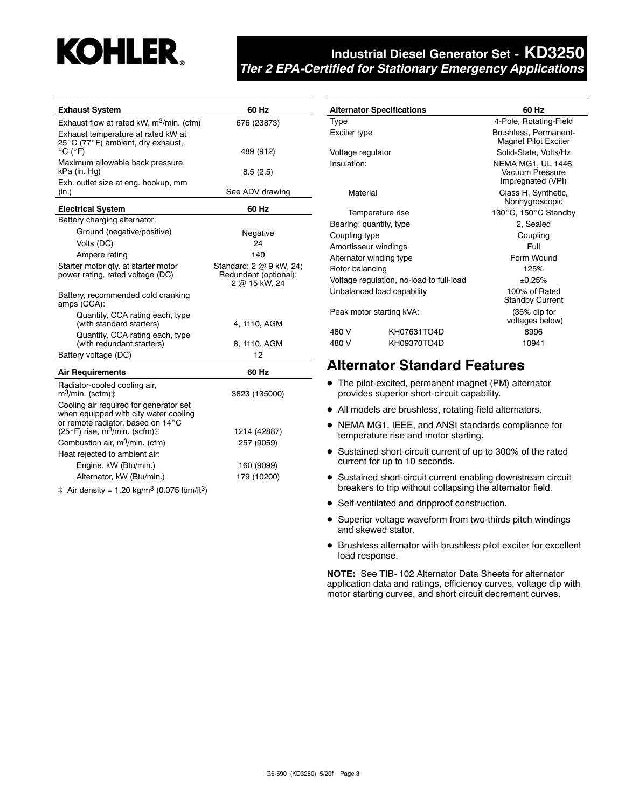# **KOHLER**

### **Industrial Diesel Generator Set - KD3250** *Tier 2 EPA-Certified for Stationary Emergency Applications*

| <b>Exhaust System</b>                                                                                                | 60 Hz                                                             |
|----------------------------------------------------------------------------------------------------------------------|-------------------------------------------------------------------|
| Exhaust flow at rated kW, m <sup>3</sup> /min. (cfm)                                                                 | 676 (23873)                                                       |
| Exhaust temperature at rated kW at                                                                                   |                                                                   |
| 25°C (77°F) ambient, dry exhaust,                                                                                    | 489 (912)                                                         |
| $^{\circ}$ C ( $^{\circ}$ F)<br>Maximum allowable back pressure,                                                     |                                                                   |
| kPa (in. Hg)                                                                                                         | 8.5(2.5)                                                          |
| Exh. outlet size at eng. hookup, mm<br>(in.)                                                                         | See ADV drawing                                                   |
|                                                                                                                      |                                                                   |
| <b>Electrical System</b>                                                                                             | 60 Hz                                                             |
| Battery charging alternator:                                                                                         |                                                                   |
| Ground (negative/positive)                                                                                           | Negative                                                          |
| Volts (DC)                                                                                                           | 24                                                                |
| Ampere rating                                                                                                        | 140                                                               |
| Starter motor qty. at starter motor<br>power rating, rated voltage (DC)                                              | Standard: 2 @ 9 kW, 24;<br>Redundant (optional);<br>2 @ 15 kW, 24 |
| Battery, recommended cold cranking<br>amps (CCA):                                                                    |                                                                   |
| Quantity, CCA rating each, type<br>(with standard starters)                                                          | 4, 1110, AGM                                                      |
| Quantity, CCA rating each, type<br>(with redundant starters)                                                         | 8, 1110, AGM                                                      |
| Battery voltage (DC)                                                                                                 | 12                                                                |
| <b>Air Requirements</b>                                                                                              | 60 Hz                                                             |
| Radiator-cooled cooling air,<br>$m^3$ /min. (scfm) $\ddagger$                                                        | 3823 (135000)                                                     |
| Cooling air required for generator set<br>when equipped with city water cooling<br>or remote radiator, based on 14°C |                                                                   |
| (25°F) rise, m <sup>3</sup> /min. (scfm)‡                                                                            | 1214 (42887)                                                      |
| Combustion air, m <sup>3</sup> /min. (cfm)                                                                           | 257 (9059)                                                        |
| Heat rejected to ambient air:                                                                                        |                                                                   |
| Engine, kW (Btu/min.)                                                                                                | 160 (9099)                                                        |
| Alternator, kW (Btu/min.)                                                                                            | 179 (10200)                                                       |
| ‡ Air density = 1.20 kg/m <sup>3</sup> (0.075 lbm/ft <sup>3</sup> )                                                  |                                                                   |

| <b>Alternator Specifications</b>         |             | 60 Hz                                                             |
|------------------------------------------|-------------|-------------------------------------------------------------------|
| Type                                     |             | 4-Pole, Rotating-Field                                            |
| Exciter type                             |             | Brushless, Permanent-<br><b>Magnet Pilot Exciter</b>              |
| Voltage regulator                        |             | Solid-State, Volts/Hz                                             |
| Insulation:                              |             | <b>NEMA MG1, UL 1446,</b><br>Vacuum Pressure<br>Impregnated (VPI) |
| Material                                 |             | Class H, Synthetic,<br>Nonhygroscopic                             |
| Temperature rise                         |             | 130°C, 150°C Standby                                              |
| Bearing: quantity, type                  |             | 2, Sealed                                                         |
| Coupling type                            |             | Coupling                                                          |
| Amortisseur windings                     |             | Full                                                              |
| Alternator winding type                  |             | Form Wound                                                        |
| Rotor balancing                          |             | 125%                                                              |
| Voltage regulation, no-load to full-load |             | ±0.25%                                                            |
| Unbalanced load capability               |             | 100% of Rated<br><b>Standby Current</b>                           |
| Peak motor starting kVA:                 |             | (35% dip for<br>voltages below)                                   |
| 480 V                                    | KH07631TO4D | 8996                                                              |
| 480 V                                    | KH09370TO4D | 10941                                                             |

### **Alternator Standard Features**

- $\bullet$  The pilot-excited, permanent magnet (PM) alternator provides superior short-circuit capability.
- All models are brushless, rotating-field alternators.
- NEMA MG1, IEEE, and ANSI standards compliance for temperature rise and motor starting.
- Sustained short-circuit current of up to 300% of the rated current for up to 10 seconds.
- Sustained short-circuit current enabling downstream circuit breakers to trip without collapsing the alternator field.
- Self-ventilated and dripproof construction.
- Superior voltage waveform from two-thirds pitch windings and skewed stator.
- $\bullet$  Brushless alternator with brushless pilot exciter for excellent load response.

**NOTE:** See TIB- 102 Alternator Data Sheets for alternator application data and ratings, efficiency curves, voltage dip with motor starting curves, and short circuit decrement curves.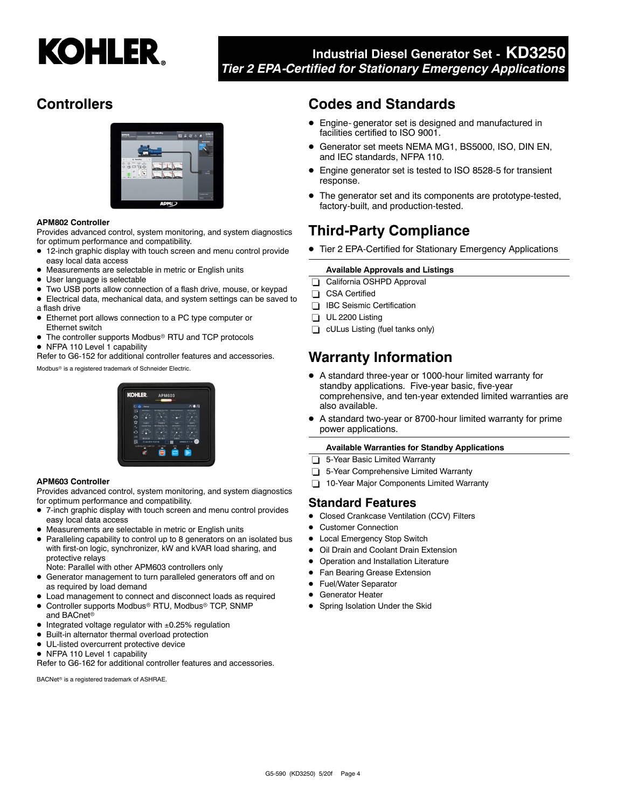

### **Industrial Diesel Generator Set - KD3250** *Tier 2 EPA-Certified for Stationary Emergency Applications*

# **Controllers**



### **APM802 Controller**

Provides advanced control, system monitoring, and system diagnostics for optimum performance and compatibility.

- 12-inch graphic display with touch screen and menu control provide easy local data access
- $\bullet$  Measurements are selectable in metric or English units
- User language is selectable
- $\bullet$  Two USB ports allow connection of a flash drive, mouse, or keypad
- Electrical data, mechanical data, and system settings can be saved to a flash drive
- Ethernet port allows connection to a PC type computer or Ethernet switch
- The controller supports Modbus<sup>®</sup> RTU and TCP protocols
- NFPA 110 Level 1 capability

Refer to G6-152 for additional controller features and accessories.

Modbus<sup>®</sup> is a registered trademark of Schneider Electric.

# **KOHI EE**

### **APM603 Controller**

Provides advanced control, system monitoring, and system diagnostics for optimum performance and compatibility.

- $\bullet$  7-inch graphic display with touch screen and menu control provides easy local data access
- Measurements are selectable in metric or English units
- Paralleling capability to control up to 8 generators on an isolated bus with first-on logic, synchronizer, kW and kVAR load sharing, and protective relays
- Note: Parallel with other APM603 controllers only
- **•** Generator management to turn paralleled generators off and on as required by load demand
- $\bullet$  Load management to connect and disconnect loads as required
- . Controller supports Modbus<sup>®</sup> RTU, Modbus® TCP, SNMP and BACnet<sup>®</sup>
- $\bullet$  Integrated voltage regulator with  $\pm 0.25\%$  regulation
- $\bullet$  Built-in alternator thermal overload protection
- $\bullet$  UL-listed overcurrent protective device
- NFPA 110 Level 1 capability

Refer to G6-162 for additional controller features and accessories.

BACNet<sup>®</sup> is a registered trademark of ASHRAE.

### **Codes and Standards**

- Engine- generator set is designed and manufactured in facilities certified to ISO 9001.
- Generator set meets NEMA MG1, BS5000, ISO, DIN EN, and IEC standards, NFPA 110.
- Engine generator set is tested to ISO 8528-5 for transient response.
- The generator set and its components are prototype-tested, factory-built, and production-tested.

## **Third-Party Compliance**

• Tier 2 EPA-Certified for Stationary Emergency Applications

### **Available Approvals and Listings**

- California OSHPD Approval
- CSA Certified
- **BC** Seismic Certification
- $\Box$  UL 2200 Listing
- **cULus Listing (fuel tanks only)**

# **Warranty Information**

- A standard three-year or 1000-hour limited warranty for standby applications. Five-year basic, five-year comprehensive, and ten-year extended limited warranties are also available.
- $\bullet$  A standard two-year or 8700-hour limited warranty for prime power applications.

### **Available Warranties for Standby Applications**

- 5-Year Basic Limited Warranty
- 5-Year Comprehensive Limited Warranty
- 10-Year Major Components Limited Warranty

### **Standard Features**

- Closed Crankcase Ventilation (CCV) Filters
- Customer Connection
- Local Emergency Stop Switch
- Oil Drain and Coolant Drain Extension
- Operation and Installation Literature
- Fan Bearing Grease Extension
- Fuel/Water Separator
- **Generator Heater**
- Spring Isolation Under the Skid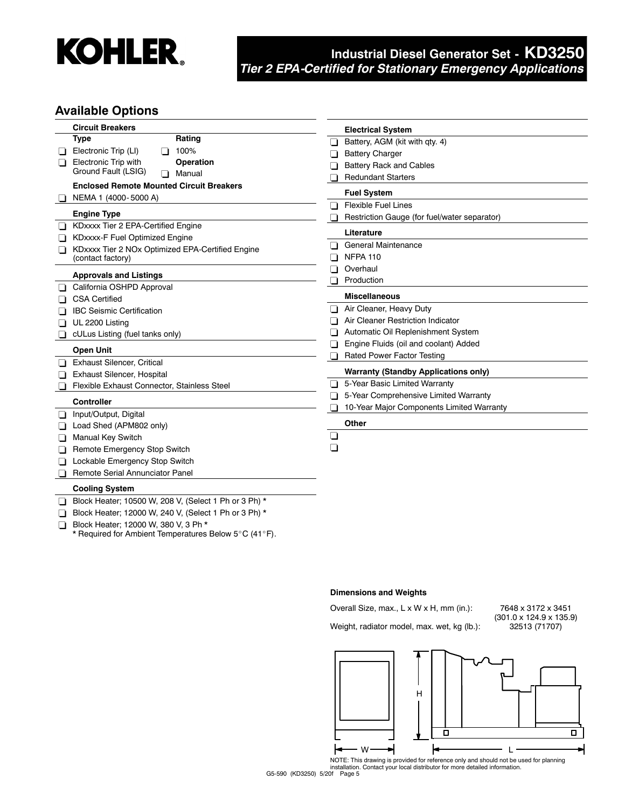

# **Industrial Diesel Generator Set - KD3250** *Tier 2 EPA-Certified for Stationary Emergency Applications*

### **Available Options**

|         | <b>Circuit Breakers</b>                          | <b>Electrical System</b>                     |
|---------|--------------------------------------------------|----------------------------------------------|
|         | <b>Type</b><br>Rating                            | Battery, AGM (kit with qty. 4)               |
|         | 100%<br>Electronic Trip (LI)<br>l I              | <b>Battery Charger</b>                       |
| $\perp$ | Electronic Trip with<br><b>Operation</b>         | <b>Battery Rack and Cables</b>               |
|         | Ground Fault (LSIG)<br>Manual<br>$\Box$          | <b>Redundant Starters</b>                    |
|         | <b>Enclosed Remote Mounted Circuit Breakers</b>  |                                              |
|         | NEMA 1 (4000-5000 A)                             | <b>Fuel System</b>                           |
|         | <b>Engine Type</b>                               | <b>Flexible Fuel Lines</b>                   |
|         | KDxxxx Tier 2 EPA-Certified Engine               | Restriction Gauge (for fuel/water separator) |
|         | <b>KDxxxx-F Fuel Optimized Engine</b>            | Literature                                   |
|         | KDxxxx Tier 2 NOx Optimized EPA-Certified Engine | General Maintenance                          |
|         | (contact factory)                                | <b>NFPA 110</b>                              |
|         |                                                  | Overhaul                                     |
|         | <b>Approvals and Listings</b>                    | Production                                   |
|         | California OSHPD Approval                        | <b>Miscellaneous</b>                         |
|         | <b>CSA Certified</b>                             | Air Cleaner, Heavy Duty                      |
|         | <b>IBC Seismic Certification</b>                 | Air Cleaner Restriction Indicator            |
|         | UL 2200 Listing                                  | Automatic Oil Replenishment System           |
|         | cULus Listing (fuel tanks only)                  | Engine Fluids (oil and coolant) Added        |
|         | <b>Open Unit</b>                                 | Rated Power Factor Testing                   |
|         | <b>Exhaust Silencer, Critical</b>                |                                              |
|         | Exhaust Silencer, Hospital                       | <b>Warranty (Standby Applications only)</b>  |
|         | Flexible Exhaust Connector, Stainless Steel      | 5-Year Basic Limited Warranty                |
|         | <b>Controller</b>                                | 5-Year Comprehensive Limited Warranty        |
|         | Input/Output, Digital                            | 10-Year Major Components Limited Warranty    |
|         | Load Shed (APM802 only)                          | Other                                        |
|         | ❏<br><b>Manual Key Switch</b>                    |                                              |
|         | H<br>Remote Emergency Stop Switch                |                                              |
|         | Lockable Emergency Stop Switch                   |                                              |
|         | Remote Serial Annunciator Panel                  |                                              |
|         |                                                  |                                              |
|         | <b>Cooling System</b>                            |                                              |

Block Heater; 10500 W, 208 V, (Select 1 Ph or 3 Ph) \*

Block Heater; 12000 W, 240 V, (Select 1 Ph or 3 Ph) \* Block Heater; 12000 W, 380 V, 3 Ph \*

\* Required for Ambient Temperatures Below 5°C (41°F).

### **Dimensions and Weights**

Overall Size, max., L x W x H, mm (in.): 7648 x 3172 x 3451 Weight, radiator model, max. wet, kg (lb.):

 $(301.0 \times 124.9 \times 135.9)$ <br> $32513 (71707)$ 



NOTE: This drawing is provided for reference only and should not be used for planning installation. Contact your local distributor for more detailed information.

G5-590 (KD3250) 5/20f Page 5